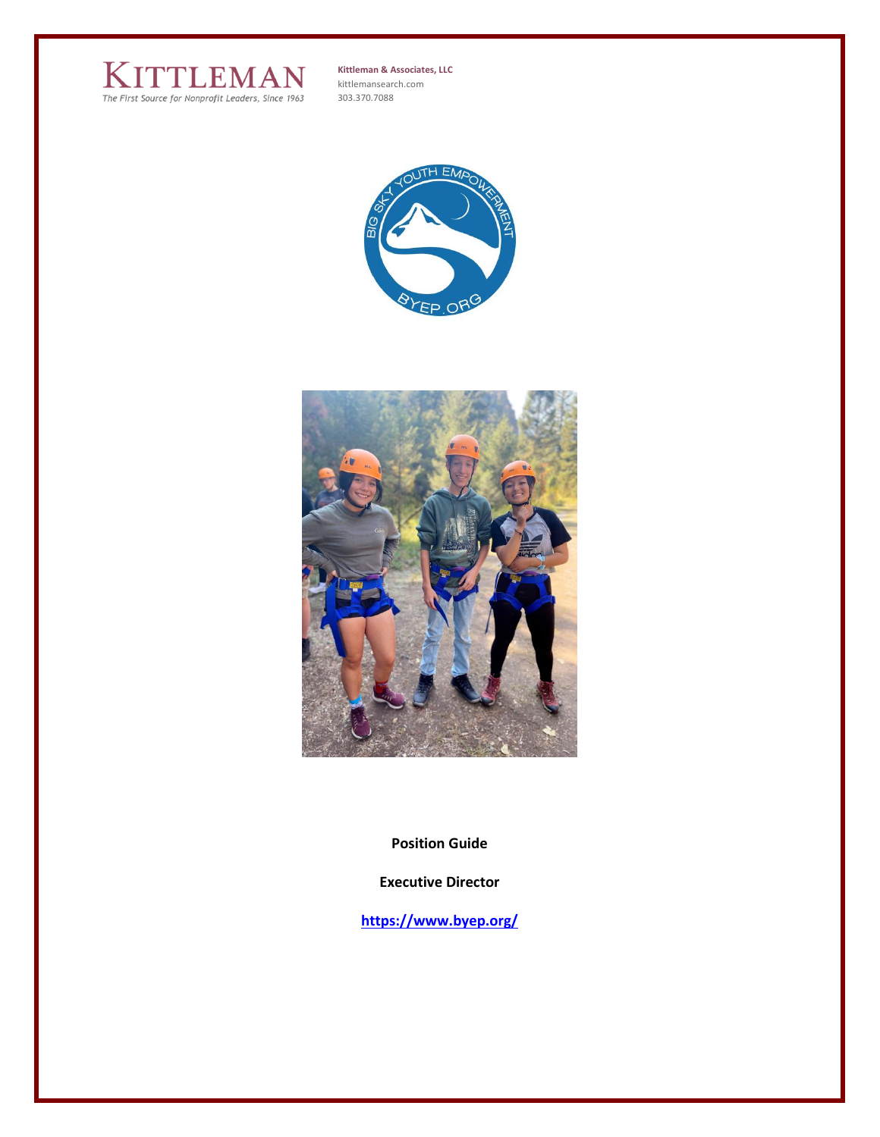

**Kittleman & Associates, LLC** kittlemansearch.com 303.370.7088





**Position Guide**

**Executive Director**

**<https://www.byep.org/>**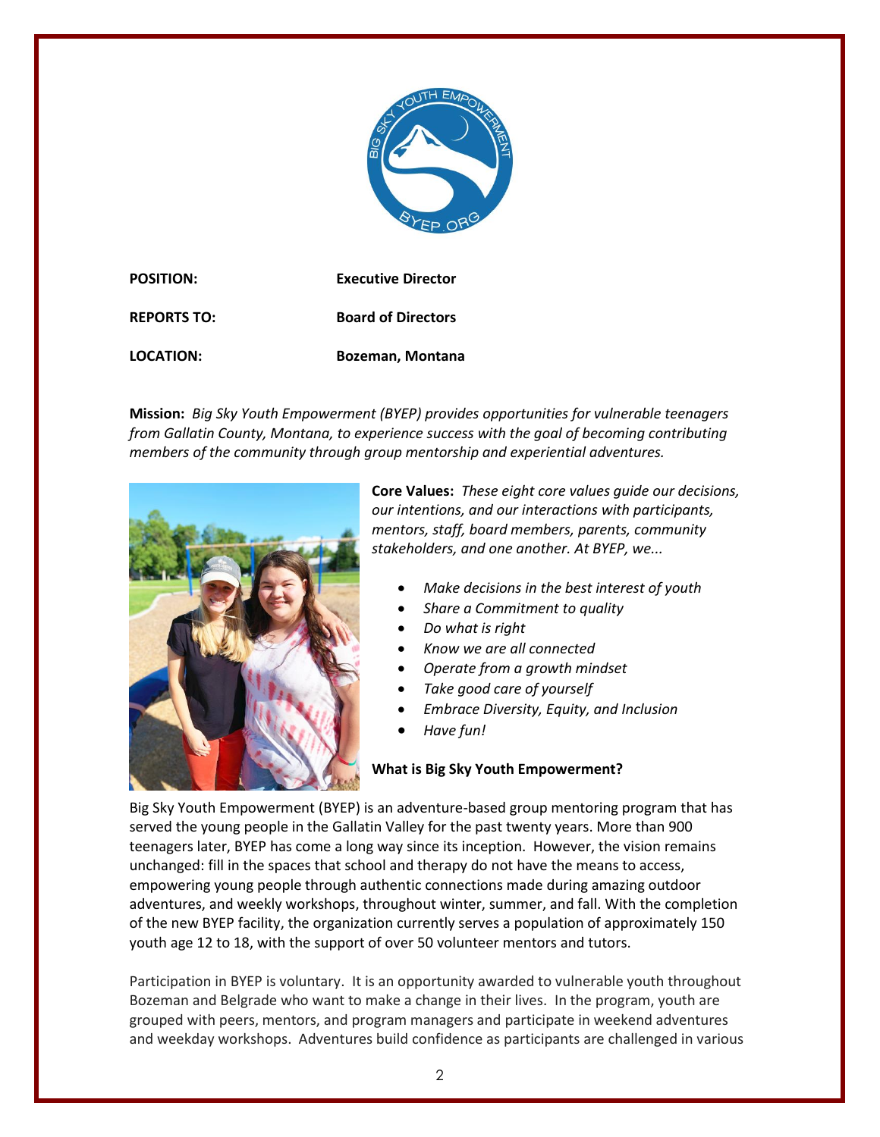

**POSITION: Executive Director REPORTS TO: Board of Directors LOCATION: Bozeman, Montana**

**Mission:** *Big Sky Youth Empowerment (BYEP) provides opportunities for vulnerable teenagers from Gallatin County, Montana, to experience success with the goal of becoming contributing members of the community through group mentorship and experiential adventures.*



**Core Values:** *These eight core values guide our decisions, our intentions, and our interactions with participants, mentors, staff, board members, parents, community stakeholders, and one another. At BYEP, we...*

- *Make decisions in the best interest of youth*
- *Share a Commitment to quality*
- *Do what is right*
- *Know we are all connected*
- *Operate from a growth mindset*
- *Take good care of yourself*
- *Embrace Diversity, Equity, and Inclusion*
- *Have fun!*

# **What is Big Sky Youth Empowerment?**

Big Sky Youth Empowerment (BYEP) is an adventure-based group mentoring program that has served the young people in the Gallatin Valley for the past twenty years. More than 900 teenagers later, BYEP has come a long way since its inception. However, the vision remains unchanged: fill in the spaces that school and therapy do not have the means to access, empowering young people through authentic connections made during amazing outdoor adventures, and weekly workshops, throughout winter, summer, and fall. With the completion of the new BYEP facility, the organization currently serves a population of approximately 150 youth age 12 to 18, with the support of over 50 volunteer mentors and tutors.

Participation in BYEP is voluntary. It is an opportunity awarded to vulnerable youth throughout Bozeman and Belgrade who want to make a change in their lives. In the program, youth are grouped with peers, mentors, and program managers and participate in weekend adventures and weekday workshops. Adventures build confidence as participants are challenged in various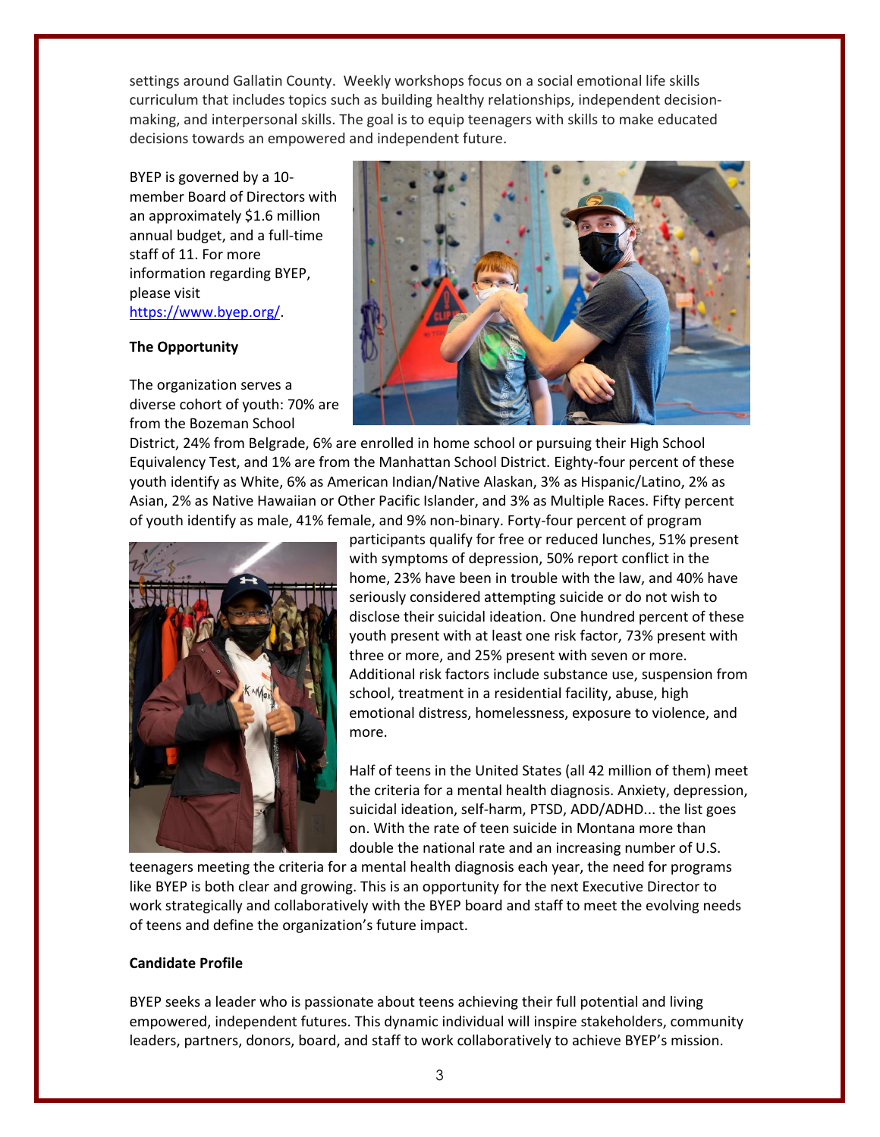settings around Gallatin County. Weekly workshops focus on a social emotional life skills curriculum that includes topics such as building healthy relationships, independent decisionmaking, and interpersonal skills. The goal is to equip teenagers with skills to make educated decisions towards an empowered and independent future.

BYEP is governed by a 10 member Board of Directors with an approximately \$1.6 million annual budget, and a full-time staff of 11. For more information regarding BYEP, please visit [https://www.byep.org/.](https://www.byep.org/)

### **The Opportunity**

The organization serves a diverse cohort of youth: 70% are from the Bozeman School



District, 24% from Belgrade, 6% are enrolled in home school or pursuing their High School Equivalency Test, and 1% are from the Manhattan School District. Eighty-four percent of these youth identify as White, 6% as American Indian/Native Alaskan, 3% as Hispanic/Latino, 2% as Asian, 2% as Native Hawaiian or Other Pacific Islander, and 3% as Multiple Races. Fifty percent of youth identify as male, 41% female, and 9% non-binary. Forty-four percent of program



participants qualify for free or reduced lunches, 51% present with symptoms of depression, 50% report conflict in the home, 23% have been in trouble with the law, and 40% have seriously considered attempting suicide or do not wish to disclose their suicidal ideation. One hundred percent of these youth present with at least one risk factor, 73% present with three or more, and 25% present with seven or more. Additional risk factors include substance use, suspension from school, treatment in a residential facility, abuse, high emotional distress, homelessness, exposure to violence, and more.

Half of teens in the United States (all 42 million of them) meet the criteria for a mental health diagnosis. Anxiety, depression, suicidal ideation, self-harm, PTSD, ADD/ADHD... the list goes on. With the rate of teen suicide in Montana more than double the national rate and an increasing number of U.S.

teenagers meeting the criteria for a mental health diagnosis each year, the need for programs like BYEP is both clear and growing. This is an opportunity for the next Executive Director to work strategically and collaboratively with the BYEP board and staff to meet the evolving needs of teens and define the organization's future impact.

### **Candidate Profile**

BYEP seeks a leader who is passionate about teens achieving their full potential and living empowered, independent futures. This dynamic individual will inspire stakeholders, community leaders, partners, donors, board, and staff to work collaboratively to achieve BYEP's mission.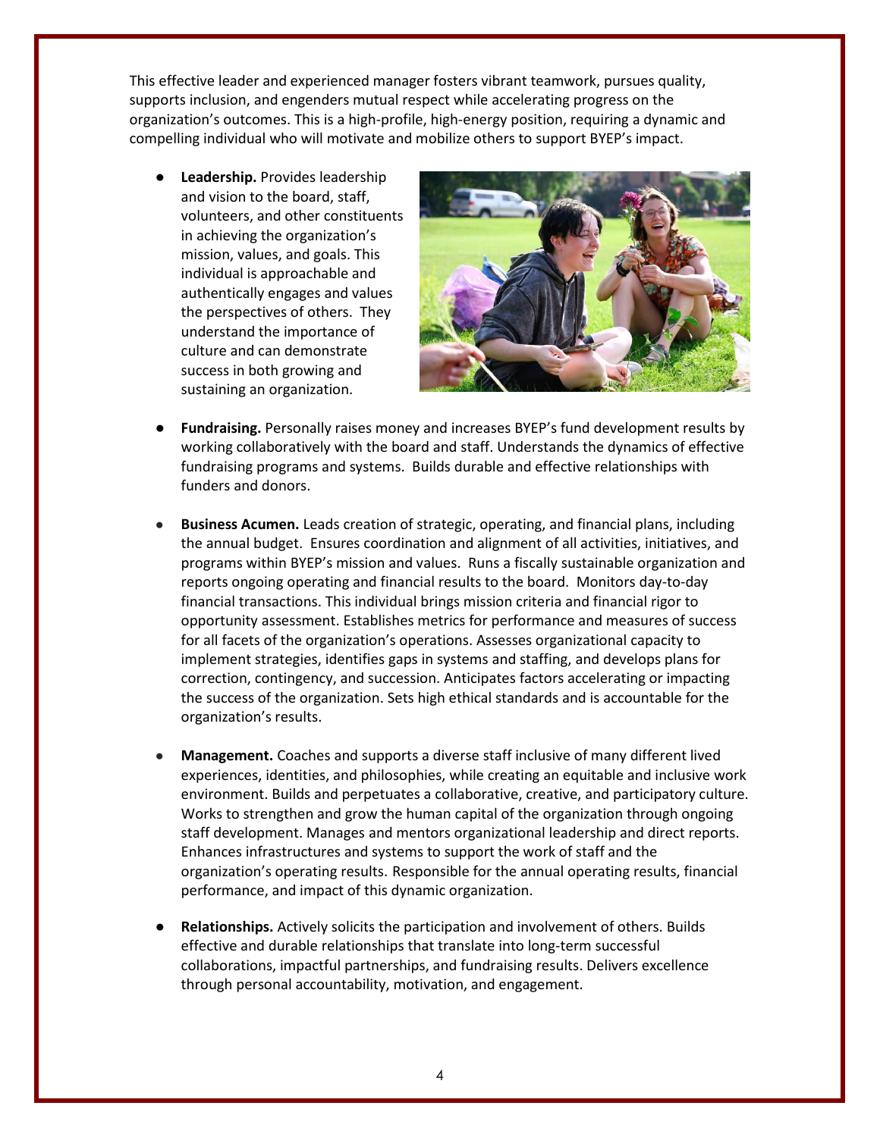This effective leader and experienced manager fosters vibrant teamwork, pursues quality, supports inclusion, and engenders mutual respect while accelerating progress on the organization's outcomes. This is a high-profile, high-energy position, requiring a dynamic and compelling individual who will motivate and mobilize others to support BYEP's impact.

**Leadership.** Provides leadership and vision to the board, staff, volunteers, and other constituents in achieving the organization's mission, values, and goals. This individual is approachable and authentically engages and values the perspectives of others. They understand the importance of culture and can demonstrate success in both growing and sustaining an organization.



- **Fundraising.** Personally raises money and increases BYEP's fund development results by working collaboratively with the board and staff. Understands the dynamics of effective fundraising programs and systems. Builds durable and effective relationships with funders and donors.
- **Business Acumen.** Leads creation of strategic, operating, and financial plans, including the annual budget. Ensures coordination and alignment of all activities, initiatives, and programs within BYEP's mission and values. Runs a fiscally sustainable organization and reports ongoing operating and financial results to the board. Monitors day-to-day financial transactions. This individual brings mission criteria and financial rigor to opportunity assessment. Establishes metrics for performance and measures of success for all facets of the organization's operations. Assesses organizational capacity to implement strategies, identifies gaps in systems and staffing, and develops plans for correction, contingency, and succession. Anticipates factors accelerating or impacting the success of the organization. Sets high ethical standards and is accountable for the organization's results.
- **Management.** Coaches and supports a diverse staff inclusive of many different lived experiences, identities, and philosophies, while creating an equitable and inclusive work environment. Builds and perpetuates a collaborative, creative, and participatory culture. Works to strengthen and grow the human capital of the organization through ongoing staff development. Manages and mentors organizational leadership and direct reports. Enhances infrastructures and systems to support the work of staff and the organization's operating results. Responsible for the annual operating results, financial performance, and impact of this dynamic organization.
- **Relationships.** Actively solicits the participation and involvement of others. Builds effective and durable relationships that translate into long-term successful collaborations, impactful partnerships, and fundraising results. Delivers excellence through personal accountability, motivation, and engagement.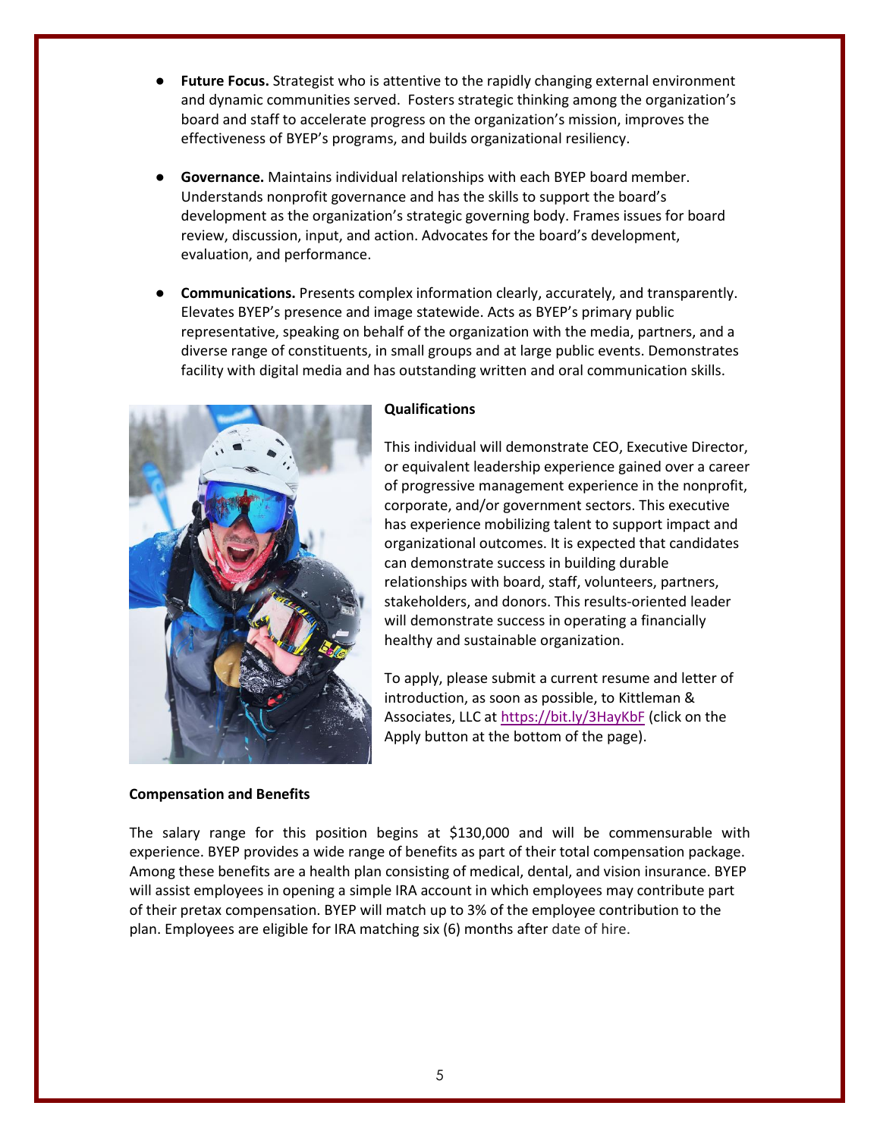- **Future Focus.** Strategist who is attentive to the rapidly changing external environment and dynamic communities served. Fosters strategic thinking among the organization's board and staff to accelerate progress on the organization's mission, improves the effectiveness of BYEP's programs, and builds organizational resiliency.
- **Governance.** Maintains individual relationships with each BYEP board member. Understands nonprofit governance and has the skills to support the board's development as the organization's strategic governing body. Frames issues for board review, discussion, input, and action. Advocates for the board's development, evaluation, and performance.
- **Communications.** Presents complex information clearly, accurately, and transparently. Elevates BYEP's presence and image statewide. Acts as BYEP's primary public representative, speaking on behalf of the organization with the media, partners, and a diverse range of constituents, in small groups and at large public events. Demonstrates facility with digital media and has outstanding written and oral communication skills.



### **Compensation and Benefits**

#### **Qualifications**

This individual will demonstrate CEO, Executive Director, or equivalent leadership experience gained over a career of progressive management experience in the nonprofit, corporate, and/or government sectors. This executive has experience mobilizing talent to support impact and organizational outcomes. It is expected that candidates can demonstrate success in building durable relationships with board, staff, volunteers, partners, stakeholders, and donors. This results-oriented leader will demonstrate success in operating a financially healthy and sustainable organization.

To apply, please submit a current resume and letter of introduction, as soon as possible, to Kittleman & Associates, LLC a[t https://bit.ly/3HayKbF](https://bit.ly/3HayKbF) (click on the Apply button at the bottom of the page).

The salary range for this position begins at \$130,000 and will be commensurable with experience. BYEP provides a wide range of benefits as part of their total compensation package. Among these benefits are a health plan consisting of medical, dental, and vision insurance. BYEP will assist employees in opening a simple IRA account in which employees may contribute part of their pretax compensation. BYEP will match up to 3% of the employee contribution to the plan. Employees are eligible for IRA matching six (6) months after date of hire.